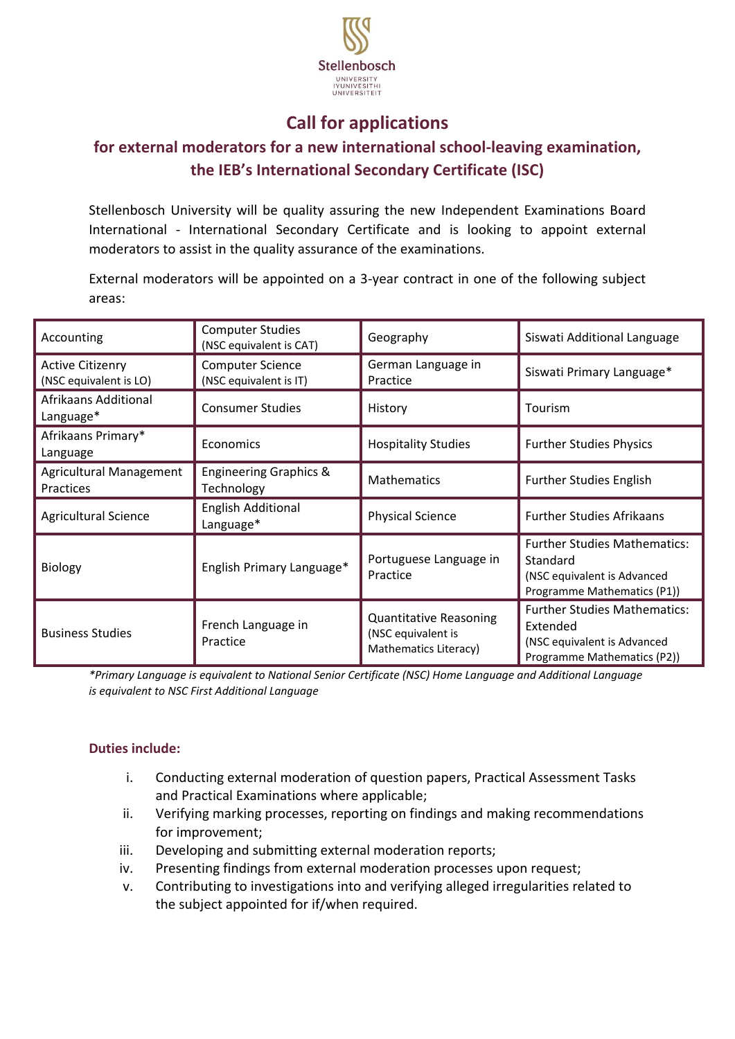

## **Call for applications**

## **for external moderators for a new international school-leaving examination, the IEB's International Secondary Certificate (ISC)**

Stellenbosch University will be quality assuring the new Independent Examinations Board International - International Secondary Certificate and is looking to appoint external moderators to assist in the quality assurance of the examinations.

External moderators will be appointed on a 3-year contract in one of the following subject areas:

| Accounting                                        | <b>Computer Studies</b><br>(NSC equivalent is CAT) | Geography                                                                    | Siswati Additional Language                                                                                   |
|---------------------------------------------------|----------------------------------------------------|------------------------------------------------------------------------------|---------------------------------------------------------------------------------------------------------------|
| <b>Active Citizenry</b><br>(NSC equivalent is LO) | <b>Computer Science</b><br>(NSC equivalent is IT)  | German Language in<br>Practice                                               | Siswati Primary Language*                                                                                     |
| Afrikaans Additional<br>Language*                 | <b>Consumer Studies</b>                            | History                                                                      | Tourism                                                                                                       |
| Afrikaans Primary*<br>Language                    | Economics                                          | <b>Hospitality Studies</b>                                                   | <b>Further Studies Physics</b>                                                                                |
| Agricultural Management<br>Practices              | <b>Engineering Graphics &amp;</b><br>Technology    | <b>Mathematics</b>                                                           | <b>Further Studies English</b>                                                                                |
| <b>Agricultural Science</b>                       | <b>English Additional</b><br>Language*             | <b>Physical Science</b>                                                      | <b>Further Studies Afrikaans</b>                                                                              |
| <b>Biology</b>                                    | English Primary Language*                          | Portuguese Language in<br>Practice                                           | <b>Further Studies Mathematics:</b><br>Standard<br>(NSC equivalent is Advanced<br>Programme Mathematics (P1)) |
| <b>Business Studies</b>                           | French Language in<br>Practice                     | <b>Quantitative Reasoning</b><br>(NSC equivalent is<br>Mathematics Literacy) | <b>Further Studies Mathematics:</b><br>Extended<br>(NSC equivalent is Advanced<br>Programme Mathematics (P2)) |

*\*Primary Language is equivalent to National Senior Certificate (NSC) Home Language and Additional Language is equivalent to NSC First Additional Language*

### **Duties include:**

- i. Conducting external moderation of question papers, Practical Assessment Tasks and Practical Examinations where applicable;
- ii. Verifying marking processes, reporting on findings and making recommendations for improvement;
- iii. Developing and submitting external moderation reports;
- iv. Presenting findings from external moderation processes upon request;
- v. Contributing to investigations into and verifying alleged irregularities related to the subject appointed for if/when required.